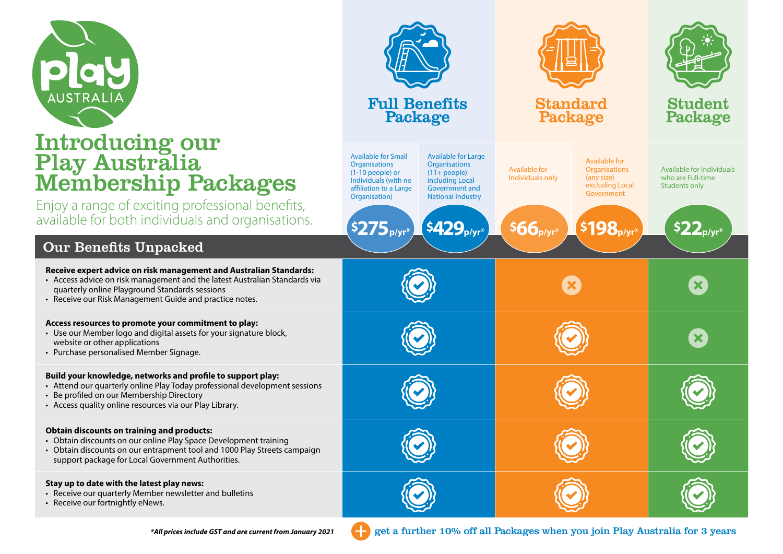

# Introducing our Play Australia **Membership Package**

#### Our Benefits Unpacked

| <b>AUSTRALIA</b>                                                                                                                                                                                                                                              | <b>Full Benefits</b><br>Package                                                                                                                                                                                                                                                                                                                    | <b>Standard</b><br>Package                                                                                                                                                             | <b>Student</b><br>Package                                                                       |
|---------------------------------------------------------------------------------------------------------------------------------------------------------------------------------------------------------------------------------------------------------------|----------------------------------------------------------------------------------------------------------------------------------------------------------------------------------------------------------------------------------------------------------------------------------------------------------------------------------------------------|----------------------------------------------------------------------------------------------------------------------------------------------------------------------------------------|-------------------------------------------------------------------------------------------------|
| ntroducing our<br>Play Australia<br>Membership Packages<br>njoy a range of exciting professional benefits,<br>vailable for both individuals and organisations.                                                                                                | <b>Available for Small</b><br><b>Available for Large</b><br><b>Organisations</b><br><b>Organisations</b><br>$(11 + people)$<br>$(1-10$ people) or<br>Individuals (with no<br>including Local<br><b>Government and</b><br>affiliation to a Large<br><b>National Industry</b><br>Organisation)<br>\$429 <sub>p/yr</sub> *<br>\$275 <sub>p/yr</sub> * | Available for<br><b>Available for</b><br><b>Organisations</b><br>Individuals only<br>(any size)<br>excluding Local<br>Government<br>$$66$ <sub>p/yr</sub> *<br>\$198 <sub>p/yr</sub> * | Available for Individuals<br>who are Full-time<br>Students only<br>$\mathsf{S22}_\mathsf{p/yr}$ |
| <b>Our Benefits Unpacked</b>                                                                                                                                                                                                                                  |                                                                                                                                                                                                                                                                                                                                                    |                                                                                                                                                                                        |                                                                                                 |
| Receive expert advice on risk management and Australian Standards:<br>• Access advice on risk management and the latest Australian Standards via<br>quarterly online Playground Standards sessions<br>• Receive our Risk Management Guide and practice notes. |                                                                                                                                                                                                                                                                                                                                                    |                                                                                                                                                                                        | $\boldsymbol{\mathsf{x}}$                                                                       |
| Access resources to promote your commitment to play:<br>• Use our Member logo and digital assets for your signature block,<br>website or other applications<br>• Purchase personalised Member Signage.                                                        |                                                                                                                                                                                                                                                                                                                                                    |                                                                                                                                                                                        | $\boldsymbol{\mathsf{x}}$                                                                       |
| Build your knowledge, networks and profile to support play:<br>• Attend our quarterly online Play Today professional development sessions<br>Be profiled on our Membership Directory<br>• Access quality online resources via our Play Library.               |                                                                                                                                                                                                                                                                                                                                                    |                                                                                                                                                                                        |                                                                                                 |
| <b>Obtain discounts on training and products:</b><br>Obtain discounts on our online Play Space Development training<br>Obtain discounts on our entrapment tool and 1000 Play Streets campaign<br>support package for Local Government Authorities.            |                                                                                                                                                                                                                                                                                                                                                    |                                                                                                                                                                                        |                                                                                                 |
|                                                                                                                                                                                                                                                               |                                                                                                                                                                                                                                                                                                                                                    |                                                                                                                                                                                        |                                                                                                 |

#### **Stay up to date with the latest play news:**

- Receive our quarterly Member newsletter and bulletins
- Receive our fortnightly eNews.

*\*All prices include GST and are current from January 2021* get a further 10% off all Packages when you join Play Australia for 3 years